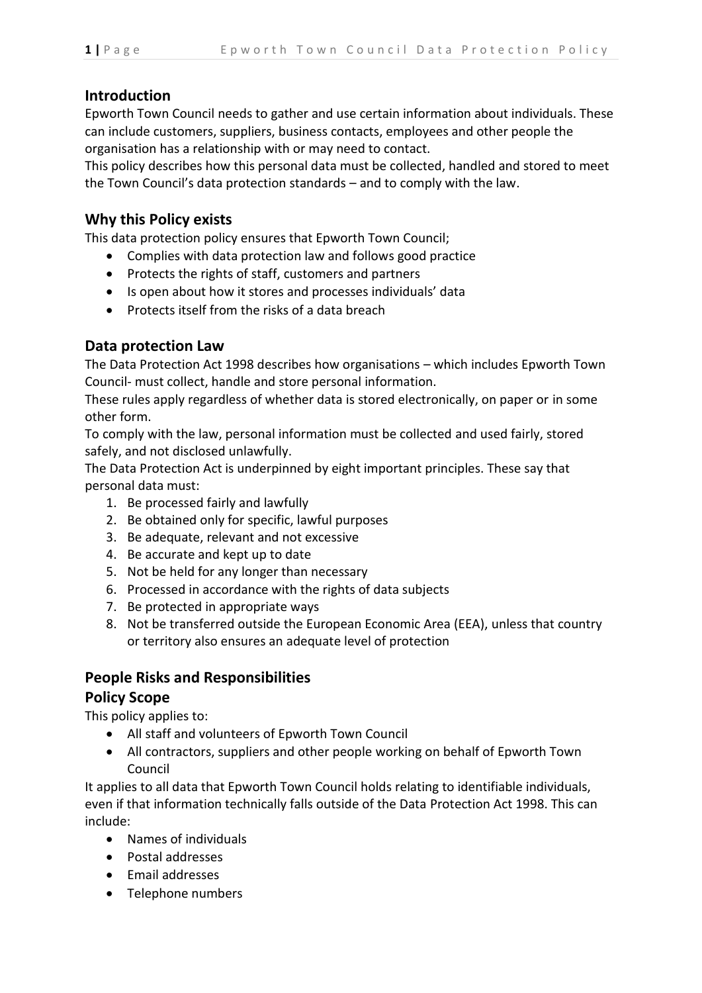### **Introduction**

Epworth Town Council needs to gather and use certain information about individuals. These can include customers, suppliers, business contacts, employees and other people the organisation has a relationship with or may need to contact.

This policy describes how this personal data must be collected, handled and stored to meet the Town Council's data protection standards – and to comply with the law.

### **Why this Policy exists**

This data protection policy ensures that Epworth Town Council;

- Complies with data protection law and follows good practice
- Protects the rights of staff, customers and partners
- Is open about how it stores and processes individuals' data
- Protects itself from the risks of a data breach

## **Data protection Law**

The Data Protection Act 1998 describes how organisations – which includes Epworth Town Council- must collect, handle and store personal information.

These rules apply regardless of whether data is stored electronically, on paper or in some other form.

To comply with the law, personal information must be collected and used fairly, stored safely, and not disclosed unlawfully.

The Data Protection Act is underpinned by eight important principles. These say that personal data must:

- 1. Be processed fairly and lawfully
- 2. Be obtained only for specific, lawful purposes
- 3. Be adequate, relevant and not excessive
- 4. Be accurate and kept up to date
- 5. Not be held for any longer than necessary
- 6. Processed in accordance with the rights of data subjects
- 7. Be protected in appropriate ways
- 8. Not be transferred outside the European Economic Area (EEA), unless that country or territory also ensures an adequate level of protection

# **People Risks and Responsibilities**

### **Policy Scope**

This policy applies to:

- All staff and volunteers of Epworth Town Council
- All contractors, suppliers and other people working on behalf of Epworth Town Council

It applies to all data that Epworth Town Council holds relating to identifiable individuals, even if that information technically falls outside of the Data Protection Act 1998. This can include:

- Names of individuals
- Postal addresses
- Email addresses
- Telephone numbers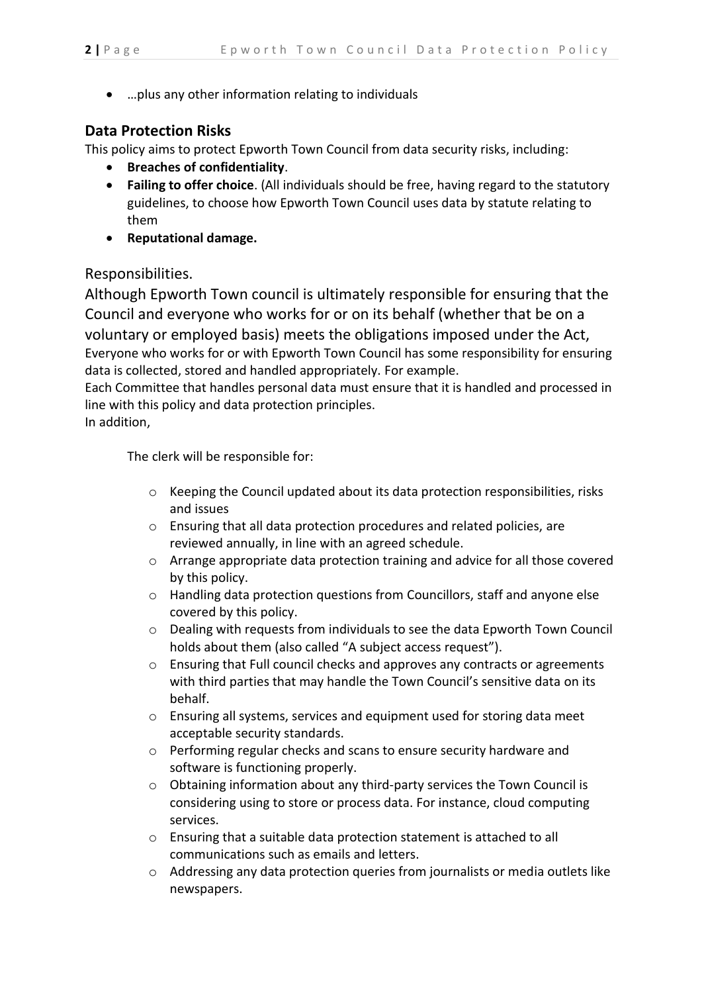• …plus any other information relating to individuals

## **Data Protection Risks**

This policy aims to protect Epworth Town Council from data security risks, including:

- **Breaches of confidentiality**.
- **Failing to offer choice**. (All individuals should be free, having regard to the statutory guidelines, to choose how Epworth Town Council uses data by statute relating to them
- **Reputational damage.**

### Responsibilities.

Although Epworth Town council is ultimately responsible for ensuring that the Council and everyone who works for or on its behalf (whether that be on a voluntary or employed basis) meets the obligations imposed under the Act, Everyone who works for or with Epworth Town Council has some responsibility for ensuring data is collected, stored and handled appropriately. For example.

Each Committee that handles personal data must ensure that it is handled and processed in line with this policy and data protection principles.

In addition,

The clerk will be responsible for:

- $\circ$  Keeping the Council updated about its data protection responsibilities, risks and issues
- o Ensuring that all data protection procedures and related policies, are reviewed annually, in line with an agreed schedule.
- o Arrange appropriate data protection training and advice for all those covered by this policy.
- o Handling data protection questions from Councillors, staff and anyone else covered by this policy.
- o Dealing with requests from individuals to see the data Epworth Town Council holds about them (also called "A subject access request").
- o Ensuring that Full council checks and approves any contracts or agreements with third parties that may handle the Town Council's sensitive data on its behalf.
- o Ensuring all systems, services and equipment used for storing data meet acceptable security standards.
- o Performing regular checks and scans to ensure security hardware and software is functioning properly.
- o Obtaining information about any third-party services the Town Council is considering using to store or process data. For instance, cloud computing services.
- o Ensuring that a suitable data protection statement is attached to all communications such as emails and letters.
- o Addressing any data protection queries from journalists or media outlets like newspapers.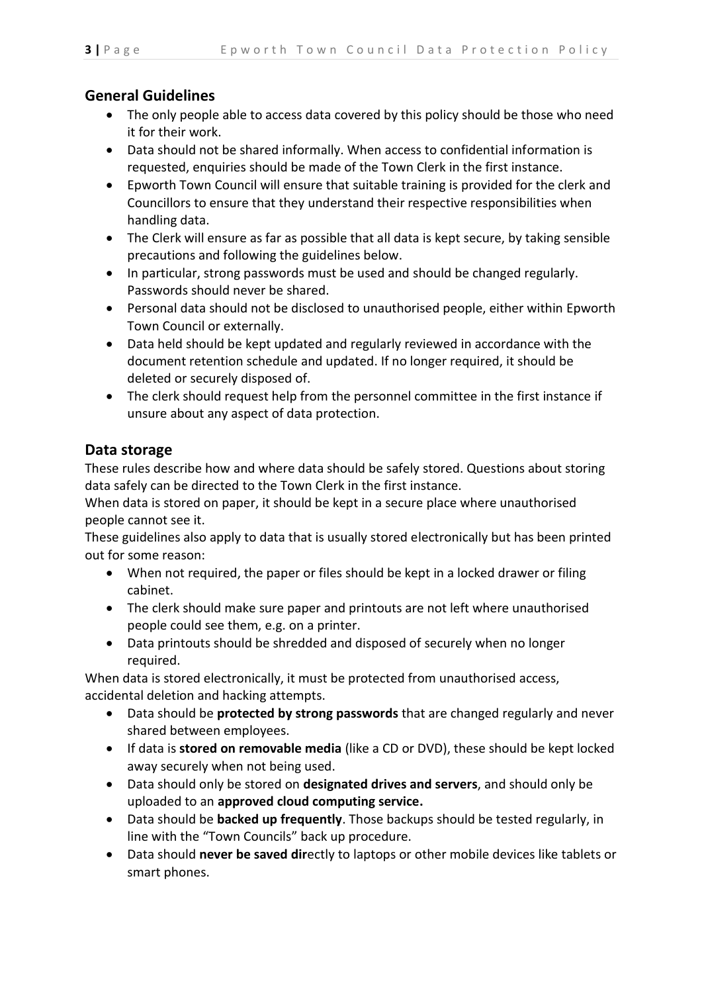# **General Guidelines**

- The only people able to access data covered by this policy should be those who need it for their work.
- Data should not be shared informally. When access to confidential information is requested, enquiries should be made of the Town Clerk in the first instance.
- Epworth Town Council will ensure that suitable training is provided for the clerk and Councillors to ensure that they understand their respective responsibilities when handling data.
- The Clerk will ensure as far as possible that all data is kept secure, by taking sensible precautions and following the guidelines below.
- In particular, strong passwords must be used and should be changed regularly. Passwords should never be shared.
- Personal data should not be disclosed to unauthorised people, either within Epworth Town Council or externally.
- Data held should be kept updated and regularly reviewed in accordance with the document retention schedule and updated. If no longer required, it should be deleted or securely disposed of.
- The clerk should request help from the personnel committee in the first instance if unsure about any aspect of data protection.

## **Data storage**

These rules describe how and where data should be safely stored. Questions about storing data safely can be directed to the Town Clerk in the first instance.

When data is stored on paper, it should be kept in a secure place where unauthorised people cannot see it.

These guidelines also apply to data that is usually stored electronically but has been printed out for some reason:

- When not required, the paper or files should be kept in a locked drawer or filing cabinet.
- The clerk should make sure paper and printouts are not left where unauthorised people could see them, e.g. on a printer.
- Data printouts should be shredded and disposed of securely when no longer required.

When data is stored electronically, it must be protected from unauthorised access, accidental deletion and hacking attempts.

- Data should be **protected by strong passwords** that are changed regularly and never shared between employees.
- If data is **stored on removable media** (like a CD or DVD), these should be kept locked away securely when not being used.
- Data should only be stored on **designated drives and servers**, and should only be uploaded to an **approved cloud computing service.**
- Data should be **backed up frequently**. Those backups should be tested regularly, in line with the "Town Councils" back up procedure.
- Data should **never be saved dir**ectly to laptops or other mobile devices like tablets or smart phones.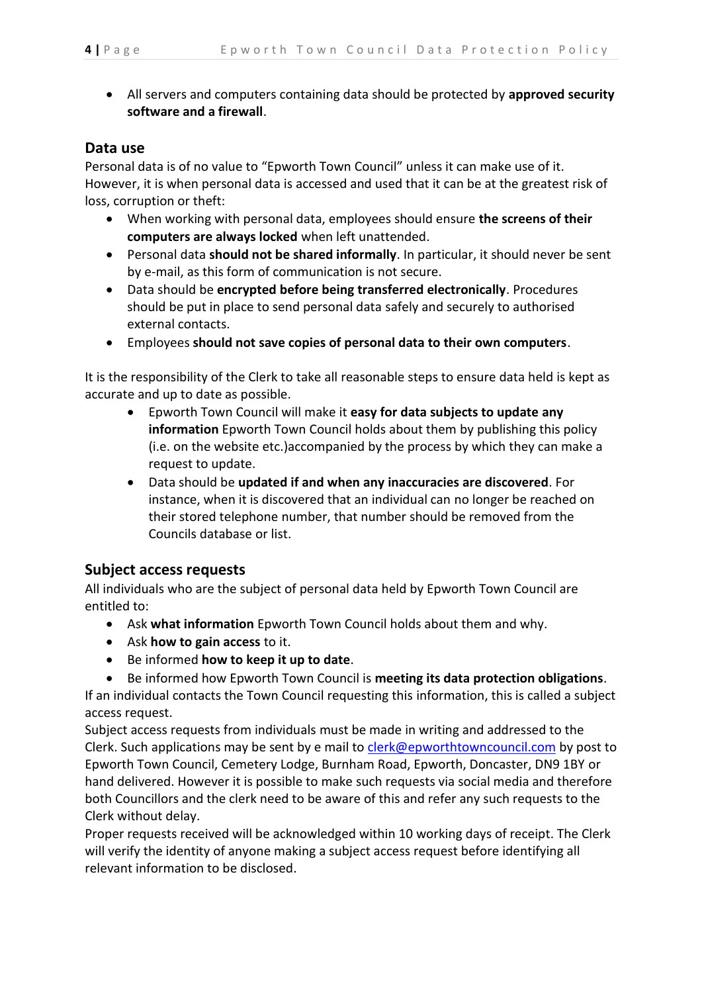• All servers and computers containing data should be protected by **approved security software and a firewall**.

### **Data use**

Personal data is of no value to "Epworth Town Council" unless it can make use of it. However, it is when personal data is accessed and used that it can be at the greatest risk of loss, corruption or theft:

- When working with personal data, employees should ensure **the screens of their computers are always locked** when left unattended.
- Personal data **should not be shared informally**. In particular, it should never be sent by e-mail, as this form of communication is not secure.
- Data should be **encrypted before being transferred electronically**. Procedures should be put in place to send personal data safely and securely to authorised external contacts.
- Employees **should not save copies of personal data to their own computers**.

It is the responsibility of the Clerk to take all reasonable steps to ensure data held is kept as accurate and up to date as possible.

- Epworth Town Council will make it **easy for data subjects to update any information** Epworth Town Council holds about them by publishing this policy (i.e. on the website etc.)accompanied by the process by which they can make a request to update.
- Data should be **updated if and when any inaccuracies are discovered**. For instance, when it is discovered that an individual can no longer be reached on their stored telephone number, that number should be removed from the Councils database or list.

### **Subject access requests**

All individuals who are the subject of personal data held by Epworth Town Council are entitled to:

- Ask **what information** Epworth Town Council holds about them and why.
- Ask **how to gain access** to it.
- Be informed **how to keep it up to date**.
- Be informed how Epworth Town Council is **meeting its data protection obligations**.

If an individual contacts the Town Council requesting this information, this is called a subject access request.

Subject access requests from individuals must be made in writing and addressed to the Clerk. Such applications may be sent by e mail to clerk[@epworthtowncouncil.com](mailto:epworth.council@btconnect.com) by post to Epworth Town Council, Cemetery Lodge, Burnham Road, Epworth, Doncaster, DN9 1BY or hand delivered. However it is possible to make such requests via social media and therefore both Councillors and the clerk need to be aware of this and refer any such requests to the Clerk without delay.

Proper requests received will be acknowledged within 10 working days of receipt. The Clerk will verify the identity of anyone making a subject access request before identifying all relevant information to be disclosed.